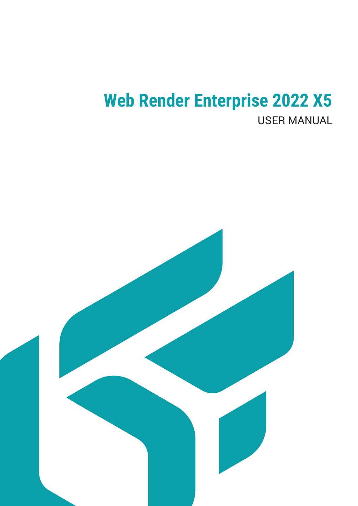# **Web Render Enterprise 2022 X5 USER MANUAL**

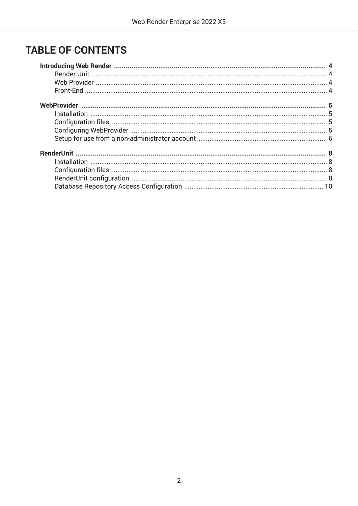## **TABLE OF CONTENTS**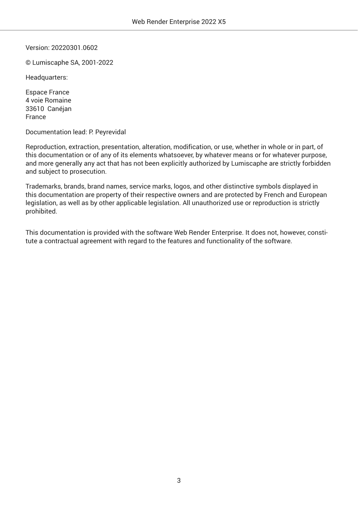Version: 20220301.0602

© Lumiscaphe SA, 2001-2022

Headquarters:

Espace France 4 voie Romaine 33610 Canéjan France

Documentation lead: P. Peyrevidal

Reproduction, extraction, presentation, alteration, modification, or use, whether in whole or in part, of this documentation or of any of its elements whatsoever, by whatever means or for whatever purpose, and more generally any act that has not been explicitly authorized by Lumiscaphe are strictly forbidden and subject to prosecution.

Trademarks, brands, brand names, service marks, logos, and other distinctive symbols displayed in this documentation are property of their respective owners and are protected by French and European legislation, as well as by other applicable legislation. All unauthorized use or reproduction is strictly prohibited.

This documentation is provided with the software Web Render Enterprise. It does not, however, constitute a contractual agreement with regard to the features and functionality of the software.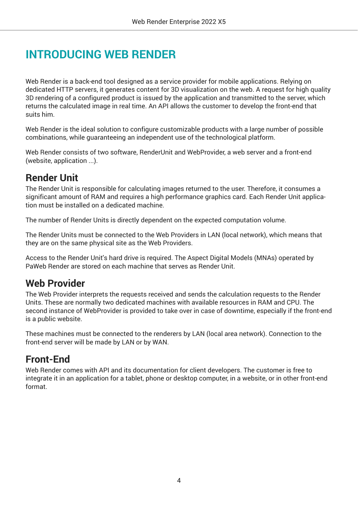# <span id="page-3-0"></span>**INTRODUCING WEB RENDER**

Web Render is a back-end tool designed as a service provider for mobile applications. Relying on dedicated HTTP servers, it generates content for 3D visualization on the web. A request for high quality 3D rendering of a configured product is issued by the application and transmitted to the server, which returns the calculated image in real time. An API allows the customer to develop the front-end that suits him.

Web Render is the ideal solution to configure customizable products with a large number of possible combinations, while guaranteeing an independent use of the technological platform.

Web Render consists of two software, RenderUnit and WebProvider, a web server and a front-end (website, application ...).

### **Render Unit**

The Render Unit is responsible for calculating images returned to the user. Therefore, it consumes a significant amount of RAM and requires a high performance graphics card. Each Render Unit application must be installed on a dedicated machine.

The number of Render Units is directly dependent on the expected computation volume.

The Render Units must be connected to the Web Providers in LAN (local network), which means that they are on the same physical site as the Web Providers.

Access to the Render Unit's hard drive is required. The Aspect Digital Models (MNAs) operated by PaWeb Render are stored on each machine that serves as Render Unit.

### **Web Provider**

The Web Provider interprets the requests received and sends the calculation requests to the Render Units. These are normally two dedicated machines with available resources in RAM and CPU. The second instance of WebProvider is provided to take over in case of downtime, especially if the front-end is a public website.

These machines must be connected to the renderers by LAN (local area network). Connection to the front-end server will be made by LAN or by WAN.

### **Front-End**

Web Render comes with API and its documentation for client developers. The customer is free to integrate it in an application for a tablet, phone or desktop computer, in a website, or in other front-end format.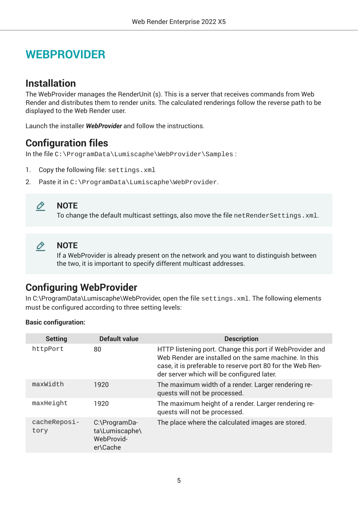# <span id="page-4-0"></span>**WEBPROVIDER**

### **Installation**

The WebProvider manages the RenderUnit (s). This is a server that receives commands from Web Render and distributes them to render units. The calculated renderings follow the reverse path to be displayed to the Web Render user.

Launch the installer *WebProvider* and follow the instructions.

### **Configuration files**

In the file C:\ProgramData\Lumiscaphe\WebProvider\Samples :

- 1. Copy the following file: settings.xml
- 2. Paste it in C:\ProgramData\Lumiscaphe\WebProvider.



#### **NOTE**

To change the default multicast settings, also move the file netRenderSettings.xml.



#### **NOTE**

If a WebProvider is already present on the network and you want to distinguish between the two, it is important to specify different multicast addresses.

### **Configuring WebProvider**

In C:\ProgramData\Lumiscaphe\WebProvider, open the file settings.xml. The following elements must be configured according to three setting levels:

#### **Basic configuration:**

| <b>Setting</b>       | <b>Default value</b>                                      | <b>Description</b>                                                                                                                                                                                                            |
|----------------------|-----------------------------------------------------------|-------------------------------------------------------------------------------------------------------------------------------------------------------------------------------------------------------------------------------|
| httpPort             | 80                                                        | HTTP listening port. Change this port if WebProvider and<br>Web Render are installed on the same machine. In this<br>case, it is preferable to reserve port 80 for the Web Ren-<br>der server which will be configured later. |
| maxWidth             | 1920                                                      | The maximum width of a render. Larger rendering re-<br>quests will not be processed.                                                                                                                                          |
| maxHeight            | 1920                                                      | The maximum height of a render. Larger rendering re-<br>quests will not be processed.                                                                                                                                         |
| cacheReposi-<br>tory | C:\ProgramDa-<br>ta\Lumiscaphe\<br>WebProvid-<br>er\Cache | The place where the calculated images are stored.                                                                                                                                                                             |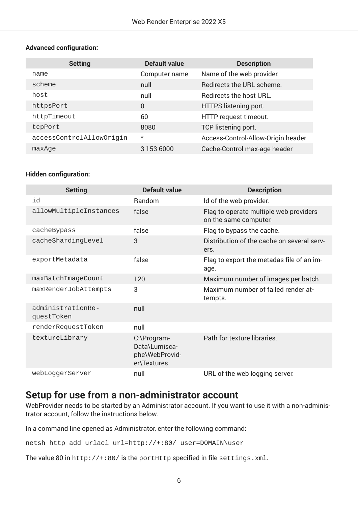#### <span id="page-5-0"></span>**Advanced configuration:**

| <b>Setting</b>           | <b>Default value</b> | <b>Description</b>                 |
|--------------------------|----------------------|------------------------------------|
| name                     | Computer name        | Name of the web provider.          |
| scheme                   | null                 | Redirects the URL scheme.          |
| host                     | null                 | Redirects the host URL.            |
| httpsPort                | $\overline{0}$       | HTTPS listening port.              |
| httpTimeout              | 60                   | HTTP request timeout.              |
| tcpPort                  | 8080                 | TCP listening port.                |
| accessControlAllowOrigin | $\star$              | Access-Control-Allow-Origin header |
| maxAqe                   | 3 153 6000           | Cache-Control max-age header       |

#### **Hidden configuration:**

| <b>Setting</b>                  | <b>Default value</b>                                          | <b>Description</b>                                              |
|---------------------------------|---------------------------------------------------------------|-----------------------------------------------------------------|
| id                              | Random                                                        | Id of the web provider.                                         |
| allowMultipleInstances          | false                                                         | Flag to operate multiple web providers<br>on the same computer. |
| cacheBypass                     | false                                                         | Flag to bypass the cache.                                       |
| cacheShardingLevel              | 3                                                             | Distribution of the cache on several serv-<br>ers.              |
| exportMetadata                  | false                                                         | Flag to export the metadas file of an im-<br>age.               |
| maxBatchImageCount              | 120                                                           | Maximum number of images per batch.                             |
| maxRenderJobAttempts            | 3                                                             | Maximum number of failed render at-<br>tempts.                  |
| administrationRe-<br>questToken | null                                                          |                                                                 |
| renderRequestToken              | null                                                          |                                                                 |
| textureLibrary                  | C:\Program-<br>Data\Lumisca-<br>phe\WebProvid-<br>er\Textures | Path for texture libraries.                                     |
| webLoggerServer                 | null                                                          | URL of the web logging server.                                  |

### **Setup for use from a non-administrator account**

WebProvider needs to be started by an Administrator account. If you want to use it with a non-administrator account, follow the instructions below.

In a command line opened as Administrator, enter the following command:

netsh http add urlacl url=http://+:80/ user=DOMAIN\user

The value 80 in  $http://+:80/$  is the portHttp specified in file settings. xml.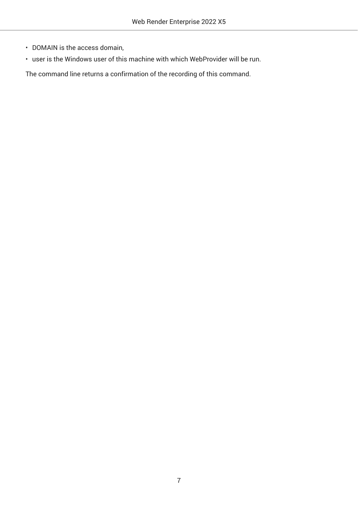- DOMAIN is the access domain,
- user is the Windows user of this machine with which WebProvider will be run.

The command line returns a confirmation of the recording of this command.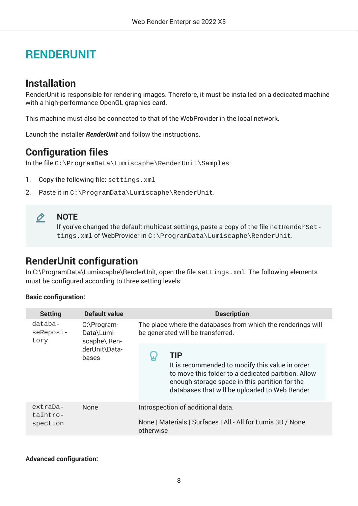# <span id="page-7-0"></span>**RENDERUNIT**

### **Installation**

RenderUnit is responsible for rendering images. Therefore, it must be installed on a dedicated machine with a high-performance OpenGL graphics card.

This machine must also be connected to that of the WebProvider in the local network.

Launch the installer *RenderUnit* and follow the instructions.

### **Configuration files**

In the file C:\ProgramData\Lumiscaphe\RenderUnit\Samples:

- 1. Copy the following file: settings.xml
- 2. Paste it in C:\ProgramData\Lumiscaphe\RenderUnit.



#### **NOTE**

If you've changed the default multicast settings, paste a copy of the file netRenderSettings.xml of WebProvider in C:\ProgramData\Lumiscaphe\RenderUnit.

### **RenderUnit configuration**

In C:\ProgramData\Lumiscaphe\RenderUnit, open the file settings.xml. The following elements must be configured according to three setting levels:

#### **Basic configuration:**

| <b>Setting</b>                   | <b>Default value</b>                                                | <b>Description</b>                                                                                                                                                                                                       |  |  |  |  |
|----------------------------------|---------------------------------------------------------------------|--------------------------------------------------------------------------------------------------------------------------------------------------------------------------------------------------------------------------|--|--|--|--|
| databa-<br>seReposi-<br>tory     | C:\Program-<br>Data\Lumi-<br>scaphe\ Ren-<br>derUnit\Data-<br>bases | The place where the databases from which the renderings will<br>be generated will be transferred.                                                                                                                        |  |  |  |  |
|                                  |                                                                     | <b>TIP</b><br>It is recommended to modify this value in order<br>to move this folder to a dedicated partition. Allow<br>enough storage space in this partition for the<br>databases that will be uploaded to Web Render. |  |  |  |  |
| extraDa-<br>taIntro-<br>spection | <b>None</b>                                                         | Introspection of additional data.<br>None   Materials   Surfaces   All - All for Lumis 3D / None<br>otherwise                                                                                                            |  |  |  |  |

#### **Advanced configuration:**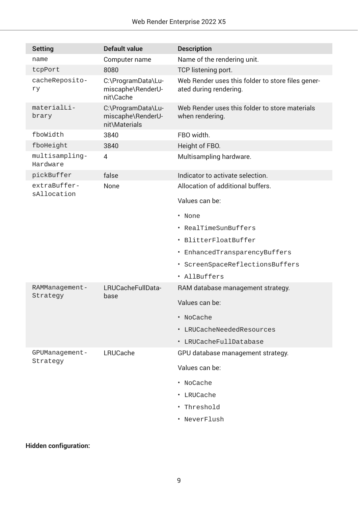| <b>Setting</b>              | <b>Default value</b>                                     | <b>Description</b>                                                          |  |  |  |
|-----------------------------|----------------------------------------------------------|-----------------------------------------------------------------------------|--|--|--|
| name                        | Computer name                                            | Name of the rendering unit.                                                 |  |  |  |
| tcpPort                     | 8080                                                     | TCP listening port.                                                         |  |  |  |
| cacheReposito-<br>rу        | C:\ProgramData\Lu-<br>miscaphe\RenderU-<br>nit\Cache     | Web Render uses this folder to store files gener-<br>ated during rendering. |  |  |  |
| materialLi-<br>brary        | C:\ProgramData\Lu-<br>miscaphe\RenderU-<br>nit\Materials | Web Render uses this folder to store materials<br>when rendering.           |  |  |  |
| fboWidth                    | 3840                                                     | FBO width.                                                                  |  |  |  |
| fboHeight                   | 3840                                                     | Height of FBO.                                                              |  |  |  |
| multisampling-<br>Hardware  | 4                                                        | Multisampling hardware.                                                     |  |  |  |
| pickBuffer                  | false                                                    | Indicator to activate selection.                                            |  |  |  |
| extraBuffer-<br>sAllocation | None                                                     | Allocation of additional buffers.                                           |  |  |  |
|                             |                                                          | Values can be:                                                              |  |  |  |
|                             |                                                          | • None                                                                      |  |  |  |
|                             |                                                          | • RealTimeSunBuffers                                                        |  |  |  |
|                             |                                                          | · BlitterFloatBuffer                                                        |  |  |  |
|                             |                                                          | · EnhancedTransparencyBuffers                                               |  |  |  |
|                             |                                                          | · ScreenSpaceReflectionsBuffers                                             |  |  |  |
|                             |                                                          | · AllBuffers                                                                |  |  |  |
| RAMManagement-              | LRUCacheFullData-                                        | RAM database management strategy.                                           |  |  |  |
| Strategy                    | base                                                     | Values can be:                                                              |  |  |  |
|                             |                                                          | · NoCache                                                                   |  |  |  |
|                             |                                                          | · LRUCacheNeededResources                                                   |  |  |  |
|                             |                                                          | · LRUCacheFullDatabase                                                      |  |  |  |
| GPUManagement-              | LRUCache                                                 | GPU database management strategy.                                           |  |  |  |
| Strategy                    |                                                          | Values can be:                                                              |  |  |  |
|                             |                                                          | • NoCache                                                                   |  |  |  |
|                             |                                                          | • LRUCache                                                                  |  |  |  |
|                             |                                                          | • Threshold                                                                 |  |  |  |
|                             |                                                          | · NeverFlush                                                                |  |  |  |
|                             |                                                          |                                                                             |  |  |  |

### **Hidden configuration:**